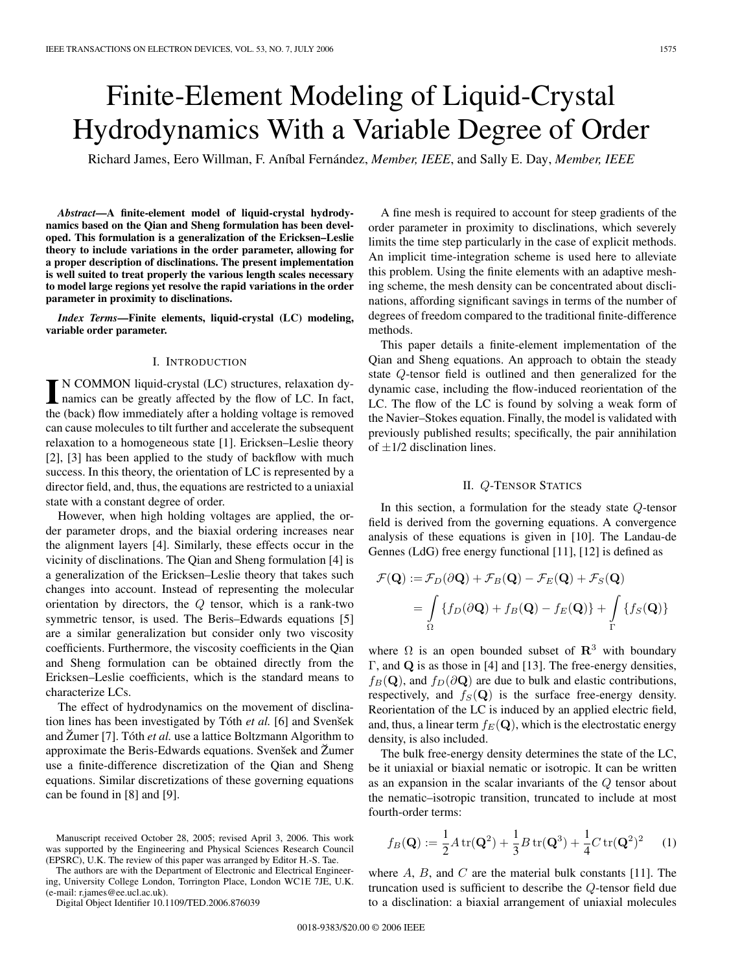# Finite-Element Modeling of Liquid-Crystal Hydrodynamics With a Variable Degree of Order

Richard James, Eero Willman, F. Aníbal Fernández, *Member, IEEE*, and Sally E. Day, *Member, IEEE*

*Abstract***—A finite-element model of liquid-crystal hydrodynamics based on the Qian and Sheng formulation has been developed. This formulation is a generalization of the Ericksen–Leslie theory to include variations in the order parameter, allowing for a proper description of disclinations. The present implementation is well suited to treat properly the various length scales necessary to model large regions yet resolve the rapid variations in the order parameter in proximity to disclinations.**

*Index Terms***—Finite elements, liquid-crystal (LC) modeling, variable order parameter.**

# I. INTRODUCTION

**I** N COMMON liquid-crystal (LC) structures, relaxation dynamics can be greatly affected by the flow of LC. In fact, the (back) flow immediately after a holding voltage is removed can cause molecules to tilt further and accelerate the subsequent relaxation to a homogeneous state [1]. Ericksen–Leslie theory [2], [3] has been applied to the study of backflow with much success. In this theory, the orientation of LC is represented by a director field, and, thus, the equations are restricted to a uniaxial state with a constant degree of order.

However, when high holding voltages are applied, the order parameter drops, and the biaxial ordering increases near the alignment layers [4]. Similarly, these effects occur in the vicinity of disclinations. The Qian and Sheng formulation [4] is a generalization of the Ericksen–Leslie theory that takes such changes into account. Instead of representing the molecular orientation by directors, the  $Q$  tensor, which is a rank-two symmetric tensor, is used. The Beris–Edwards equations [5] are a similar generalization but consider only two viscosity coefficients. Furthermore, the viscosity coefficients in the Qian and Sheng formulation can be obtained directly from the Ericksen–Leslie coefficients, which is the standard means to characterize LCs.

The effect of hydrodynamics on the movement of disclination lines has been investigated by Tóth et al. [6] and Svensek and Žumer [7]. Tóth et al. use a lattice Boltzmann Algorithm to approximate the Beris-Edwards equations. Svensek and Zumer use a finite-difference discretization of the Qian and Sheng equations. Similar discretizations of these governing equations can be found in [8] and [9].

The authors are with the Department of Electronic and Electrical Engineering, University College London, Torrington Place, London WC1E 7JE, U.K. (e-mail: r.james@ee.ucl.ac.uk).

Digital Object Identifier 10.1109/TED.2006.876039

A fine mesh is required to account for steep gradients of the order parameter in proximity to disclinations, which severely limits the time step particularly in the case of explicit methods. An implicit time-integration scheme is used here to alleviate this problem. Using the finite elements with an adaptive meshing scheme, the mesh density can be concentrated about disclinations, affording significant savings in terms of the number of degrees of freedom compared to the traditional finite-difference methods.

This paper details a finite-element implementation of the Qian and Sheng equations. An approach to obtain the steady state Q-tensor field is outlined and then generalized for the dynamic case, including the flow-induced reorientation of the LC. The flow of the LC is found by solving a weak form of the Navier–Stokes equation. Finally, the model is validated with previously published results; specifically, the pair annihilation of  $\pm$ 1/2 disclination lines.

# II. Q-TENSOR STATICS

In this section, a formulation for the steady state Q-tensor field is derived from the governing equations. A convergence analysis of these equations is given in [10]. The Landau-de Gennes (LdG) free energy functional [11], [12] is defined as

$$
\mathcal{F}(\mathbf{Q}) := \mathcal{F}_D(\partial \mathbf{Q}) + \mathcal{F}_B(\mathbf{Q}) - \mathcal{F}_E(\mathbf{Q}) + \mathcal{F}_S(\mathbf{Q})
$$
  
= 
$$
\int_{\Omega} \{ f_D(\partial \mathbf{Q}) + f_B(\mathbf{Q}) - f_E(\mathbf{Q}) \} + \int_{\Gamma} \{ f_S(\mathbf{Q}) \}
$$

where  $\Omega$  is an open bounded subset of  $\mathbb{R}^3$  with boundary Γ, and **Q** is as those in [4] and [13]. The free-energy densities,  $f_B(\mathbf{Q})$ , and  $f_D(\partial \mathbf{Q})$  are due to bulk and elastic contributions, respectively, and  $f_S(Q)$  is the surface free-energy density. Reorientation of the LC is induced by an applied electric field, and, thus, a linear term  $f_E(\mathbf{Q})$ , which is the electrostatic energy density, is also included.

The bulk free-energy density determines the state of the LC, be it uniaxial or biaxial nematic or isotropic. It can be written as an expansion in the scalar invariants of the Q tensor about the nematic–isotropic transition, truncated to include at most fourth-order terms:

$$
f_B(\mathbf{Q}) := \frac{1}{2} A \operatorname{tr}(\mathbf{Q}^2) + \frac{1}{3} B \operatorname{tr}(\mathbf{Q}^3) + \frac{1}{4} C \operatorname{tr}(\mathbf{Q}^2)^2 \tag{1}
$$

where  $A$ ,  $B$ , and  $C$  are the material bulk constants [11]. The truncation used is sufficient to describe the Q-tensor field due to a disclination: a biaxial arrangement of uniaxial molecules

Manuscript received October 28, 2005; revised April 3, 2006. This work was supported by the Engineering and Physical Sciences Research Council (EPSRC), U.K. The review of this paper was arranged by Editor H.-S. Tae.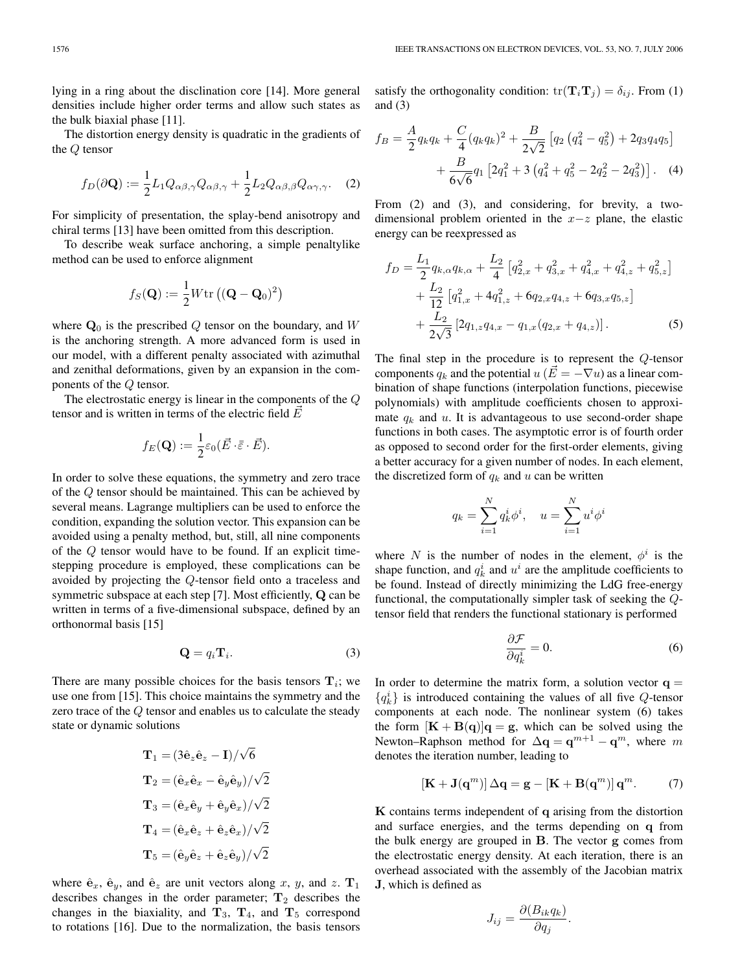lying in a ring about the disclination core [14]. More general densities include higher order terms and allow such states as the bulk biaxial phase [11].

The distortion energy density is quadratic in the gradients of the Q tensor

$$
f_D(\partial \mathbf{Q}) := \frac{1}{2} L_1 Q_{\alpha\beta,\gamma} Q_{\alpha\beta,\gamma} + \frac{1}{2} L_2 Q_{\alpha\beta,\beta} Q_{\alpha\gamma,\gamma}.
$$
 (2)

For simplicity of presentation, the splay-bend anisotropy and chiral terms [13] have been omitted from this description.

To describe weak surface anchoring, a simple penaltylike method can be used to enforce alignment

$$
f_S(\mathbf{Q}) := \frac{1}{2} W \text{tr} \left( (\mathbf{Q} - \mathbf{Q}_0)^2 \right)
$$

where  $\mathbf{Q}_0$  is the prescribed Q tensor on the boundary, and W is the anchoring strength. A more advanced form is used in our model, with a different penalty associated with azimuthal and zenithal deformations, given by an expansion in the components of the Q tensor.

The electrostatic energy is linear in the components of the Q tensor and is written in terms of the electric field  $\vec{E}$ 

$$
f_E(\mathbf{Q}) := \frac{1}{2} \varepsilon_0 (\vec{E} \cdot \overline{\vec{\varepsilon}} \cdot \vec{E}).
$$

In order to solve these equations, the symmetry and zero trace of the Q tensor should be maintained. This can be achieved by several means. Lagrange multipliers can be used to enforce the condition, expanding the solution vector. This expansion can be avoided using a penalty method, but, still, all nine components of the Q tensor would have to be found. If an explicit timestepping procedure is employed, these complications can be avoided by projecting the Q-tensor field onto a traceless and symmetric subspace at each step [7]. Most efficiently, **Q** can be written in terms of a five-dimensional subspace, defined by an orthonormal basis [15]

$$
\mathbf{Q} = q_i \mathbf{T}_i. \tag{3}
$$

There are many possible choices for the basis tensors  $\mathbf{T}_i$ ; we use one from [15]. This choice maintains the symmetry and the zero trace of the Q tensor and enables us to calculate the steady state or dynamic solutions

$$
\begin{aligned} &\mathbf{T}_1 = (3\hat{\mathbf{e}}_z\hat{\mathbf{e}}_z - \mathbf{I})/\sqrt{6} \\ &\mathbf{T}_2 = (\hat{\mathbf{e}}_x\hat{\mathbf{e}}_x - \hat{\mathbf{e}}_y\hat{\mathbf{e}}_y)/\sqrt{2} \\ &\mathbf{T}_3 = (\hat{\mathbf{e}}_x\hat{\mathbf{e}}_y + \hat{\mathbf{e}}_y\hat{\mathbf{e}}_x)/\sqrt{2} \\ &\mathbf{T}_4 = (\hat{\mathbf{e}}_x\hat{\mathbf{e}}_z + \hat{\mathbf{e}}_z\hat{\mathbf{e}}_x)/\sqrt{2} \\ &\mathbf{T}_5 = (\hat{\mathbf{e}}_y\hat{\mathbf{e}}_z + \hat{\mathbf{e}}_z\hat{\mathbf{e}}_y)/\sqrt{2} \end{aligned}
$$

where  $\hat{\mathbf{e}}_x$ ,  $\hat{\mathbf{e}}_y$ , and  $\hat{\mathbf{e}}_z$  are unit vectors along x, y, and z.  $\mathbf{T}_1$ describes changes in the order parameter;  $T_2$  describes the changes in the biaxiality, and  $\mathbf{T}_3$ ,  $\mathbf{T}_4$ , and  $\mathbf{T}_5$  correspond to rotations [16]. Due to the normalization, the basis tensors

satisfy the orthogonality condition:  $tr(\mathbf{T}_i \mathbf{T}_j) = \delta_{ij}$ . From (1) and  $(3)$ 

$$
f_B = \frac{A}{2}q_kq_k + \frac{C}{4}(q_kq_k)^2 + \frac{B}{2\sqrt{2}}\left[q_2\left(q_4^2 - q_5^2\right) + 2q_3q_4q_5\right] + \frac{B}{6\sqrt{6}}q_1\left[2q_1^2 + 3\left(q_4^2 + q_5^2 - 2q_2^2 - 2q_3^2\right)\right].
$$
 (4)

From (2) and (3), and considering, for brevity, a twodimensional problem oriented in the  $x-z$  plane, the elastic energy can be reexpressed as

$$
f_D = \frac{L_1}{2} q_{k,\alpha} q_{k,\alpha} + \frac{L_2}{4} \left[ q_{2,x}^2 + q_{3,x}^2 + q_{4,x}^2 + q_{4,z}^2 + q_{5,z}^2 \right] + \frac{L_2}{12} \left[ q_{1,x}^2 + 4q_{1,z}^2 + 6q_{2,x}q_{4,z} + 6q_{3,x}q_{5,z} \right] + \frac{L_2}{2\sqrt{3}} \left[ 2q_{1,z}q_{4,x} - q_{1,x}(q_{2,x} + q_{4,z}) \right].
$$
 (5)

The final step in the procedure is to represent the Q-tensor components  $q_k$  and the potential  $u(\vec{E} = -\nabla u)$  as a linear combination of shape functions (interpolation functions, piecewise polynomials) with amplitude coefficients chosen to approximate  $q_k$  and  $u$ . It is advantageous to use second-order shape functions in both cases. The asymptotic error is of fourth order as opposed to second order for the first-order elements, giving a better accuracy for a given number of nodes. In each element, the discretized form of  $q_k$  and u can be written

$$
q_k = \sum_{i=1}^N q_k^i \phi^i, \quad u = \sum_{i=1}^N u^i \phi^i
$$

where N is the number of nodes in the element,  $\phi^i$  is the shape function, and  $q_k^i$  and  $u^i$  are the amplitude coefficients to be found. Instead of directly minimizing the LdG free-energy functional, the computationally simpler task of seeking the Qtensor field that renders the functional stationary is performed

$$
\frac{\partial \mathcal{F}}{\partial q_k^i} = 0. \tag{6}
$$

In order to determine the matrix form, a solution vector  $q =$  ${q_k^i}$  is introduced containing the values of all five Q-tensor components at each node. The nonlinear system (6) takes the form  $[K + B(q)]q = g$ , which can be solved using the Newton–Raphson method for  $\Delta \mathbf{q} = \mathbf{q}^{m+1} - \mathbf{q}^m$ , where m denotes the iteration number, leading to

$$
[\mathbf{K} + \mathbf{J}(\mathbf{q}^m)] \Delta \mathbf{q} = \mathbf{g} - [\mathbf{K} + \mathbf{B}(\mathbf{q}^m)] \mathbf{q}^m.
$$
 (7)

**K** contains terms independent of **q** arising from the distortion and surface energies, and the terms depending on **q** from the bulk energy are grouped in **B**. The vector **g** comes from the electrostatic energy density. At each iteration, there is an overhead associated with the assembly of the Jacobian matrix **J**, which is defined as

$$
J_{ij} = \frac{\partial (B_{ik}q_k)}{\partial q_j}.
$$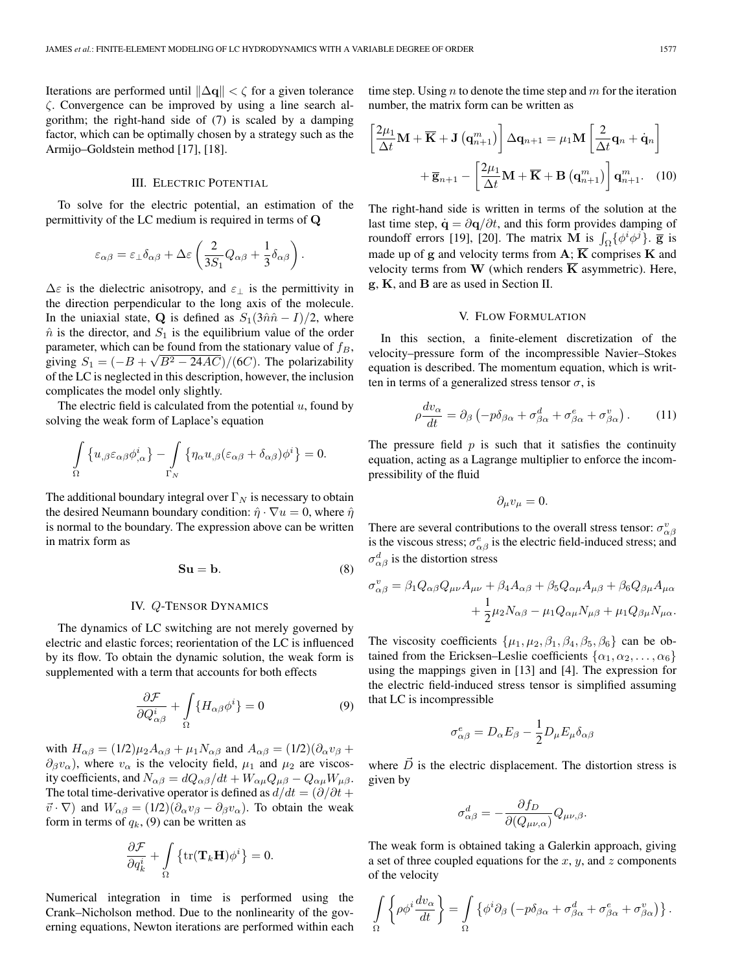Iterations are performed until  $\|\Delta \mathbf{q}\| < \zeta$  for a given tolerance ζ. Convergence can be improved by using a line search algorithm; the right-hand side of (7) is scaled by a damping factor, which can be optimally chosen by a strategy such as the Armijo–Goldstein method [17], [18].

# III. ELECTRIC POTENTIAL

To solve for the electric potential, an estimation of the permittivity of the LC medium is required in terms of **Q**

$$
\varepsilon_{\alpha\beta} = \varepsilon_{\perp}\delta_{\alpha\beta} + \Delta\varepsilon \left(\frac{2}{3S_1}Q_{\alpha\beta} + \frac{1}{3}\delta_{\alpha\beta}\right).
$$

 $\Delta \varepsilon$  is the dielectric anisotropy, and  $\varepsilon_{\perp}$  is the permittivity in the direction perpendicular to the long axis of the molecule. In the uniaxial state, **Q** is defined as  $S_1(3\hat{n}\hat{n} - I)/2$ , where  $\hat{n}$  is the director, and  $S_1$  is the equilibrium value of the order parameter, which can be found from the stationary value of  $f_B$ , parameter, which can be found from the stationary value of  $J_B$ ,<br>giving  $S_1 = (-B + \sqrt{B^2 - 24AC})/(6C)$ . The polarizability of the LC is neglected in this description, however, the inclusion complicates the model only slightly.

The electric field is calculated from the potential  $u$ , found by solving the weak form of Laplace's equation

$$
\int_{\Omega} \left\{ u_{,\beta} \varepsilon_{\alpha\beta} \phi_{,\alpha}^{i} \right\} - \int_{\Gamma_{N}} \left\{ \eta_{\alpha} u_{,\beta} (\varepsilon_{\alpha\beta} + \delta_{\alpha\beta}) \phi^{i} \right\} = 0.
$$

The additional boundary integral over  $\Gamma_N$  is necessary to obtain the desired Neumann boundary condition:  $\hat{\eta} \cdot \nabla u = 0$ , where  $\hat{\eta}$ is normal to the boundary. The expression above can be written in matrix form as

$$
Su = b. \t\t(8)
$$

# IV. Q-TENSOR DYNAMICS

The dynamics of LC switching are not merely governed by electric and elastic forces; reorientation of the LC is influenced by its flow. To obtain the dynamic solution, the weak form is supplemented with a term that accounts for both effects

$$
\frac{\partial \mathcal{F}}{\partial Q_{\alpha\beta}^i} + \int_{\Omega} \{ H_{\alpha\beta} \phi^i \} = 0
$$
 (9)

with  $H_{\alpha\beta} = (1/2)\mu_2 A_{\alpha\beta} + \mu_1 N_{\alpha\beta}$  and  $A_{\alpha\beta} = (1/2)(\partial_\alpha v_\beta +$  $\partial_{\beta}v_{\alpha}$ , where  $v_{\alpha}$  is the velocity field,  $\mu_1$  and  $\mu_2$  are viscosity coefficients, and  $N_{\alpha\beta} = dQ_{\alpha\beta}/dt + W_{\alpha\mu}Q_{\mu\beta} - Q_{\alpha\mu}W_{\mu\beta}$ . The total time-derivative operator is defined as  $d/dt = (\partial/\partial t +$  $\vec{v} \cdot \nabla$ ) and  $W_{\alpha\beta} = (1/2)(\partial_{\alpha}v_{\beta} - \partial_{\beta}v_{\alpha})$ . To obtain the weak form in terms of  $q_k$ , (9) can be written as

$$
\frac{\partial \mathcal{F}}{\partial q_k^i} + \int\limits_{\Omega} \left\{ \text{tr}(\mathbf{T}_k \mathbf{H}) \phi^i \right\} = 0.
$$

Numerical integration in time is performed using the Crank–Nicholson method. Due to the nonlinearity of the governing equations, Newton iterations are performed within each time step. Using n to denote the time step and  $m$  for the iteration number, the matrix form can be written as

$$
\left[\frac{2\mu_1}{\Delta t}\mathbf{M} + \overline{\mathbf{K}} + \mathbf{J}\left(\mathbf{q}_{n+1}^m\right)\right] \Delta \mathbf{q}_{n+1} = \mu_1 \mathbf{M} \left[\frac{2}{\Delta t} \mathbf{q}_n + \dot{\mathbf{q}}_n\right] + \overline{\mathbf{g}}_{n+1} - \left[\frac{2\mu_1}{\Delta t}\mathbf{M} + \overline{\mathbf{K}} + \mathbf{B}\left(\mathbf{q}_{n+1}^m\right)\right] \mathbf{q}_{n+1}^m. \quad (10)
$$

The right-hand side is written in terms of the solution at the last time step,  $\dot{\mathbf{q}} = \partial \mathbf{q}/\partial t$ , and this form provides damping of roundoff errors [19], [20]. The matrix **M** is  $\int_{\Omega} {\{\phi^i \phi^j\}}$ . **g** is made up of **g** and velocity terms from  $\mathbf{A}$ ;  $\overline{\mathbf{K}}$  comprises **K** and velocity terms from **W** (which renders  $\overline{K}$  asymmetric). Here, **g**, **K**, and **B** are as used in Section II.

#### V. FLOW FORMULATION

In this section, a finite-element discretization of the velocity–pressure form of the incompressible Navier–Stokes equation is described. The momentum equation, which is written in terms of a generalized stress tensor  $\sigma$ , is

$$
\rho \frac{dv_{\alpha}}{dt} = \partial_{\beta} \left( -p \delta_{\beta \alpha} + \sigma_{\beta \alpha}^{d} + \sigma_{\beta \alpha}^{e} + \sigma_{\beta \alpha}^{v} \right). \tag{11}
$$

The pressure field  $p$  is such that it satisfies the continuity equation, acting as a Lagrange multiplier to enforce the incompressibility of the fluid

$$
\partial_{\mu}v_{\mu}=0.
$$

There are several contributions to the overall stress tensor:  $\sigma_{\alpha\beta}^v$ is the viscous stress;  $\sigma_{\alpha\beta}^e$  is the electric field-induced stress; and  $\sigma_{\alpha\beta}^d$  is the distortion stress

$$
\sigma_{\alpha\beta}^v = \beta_1 Q_{\alpha\beta} Q_{\mu\nu} A_{\mu\nu} + \beta_4 A_{\alpha\beta} + \beta_5 Q_{\alpha\mu} A_{\mu\beta} + \beta_6 Q_{\beta\mu} A_{\mu\alpha} + \frac{1}{2} \mu_2 N_{\alpha\beta} - \mu_1 Q_{\alpha\mu} N_{\mu\beta} + \mu_1 Q_{\beta\mu} N_{\mu\alpha}.
$$

The viscosity coefficients  $\{\mu_1, \mu_2, \beta_1, \beta_4, \beta_5, \beta_6\}$  can be obtained from the Ericksen–Leslie coefficients  $\{\alpha_1, \alpha_2, \ldots, \alpha_6\}$ using the mappings given in [13] and [4]. The expression for the electric field-induced stress tensor is simplified assuming that LC is incompressible

$$
\sigma^e_{\alpha\beta}=D_\alpha E_\beta-\frac{1}{2}D_\mu E_\mu \delta_{\alpha\beta}
$$

where  $\vec{D}$  is the electric displacement. The distortion stress is given by

$$
\sigma_{\alpha\beta}^d = -\frac{\partial f_D}{\partial (Q_{\mu\nu,\alpha})} Q_{\mu\nu,\beta}.
$$

The weak form is obtained taking a Galerkin approach, giving a set of three coupled equations for the  $x, y$ , and  $z$  components of the velocity

$$
\int_{\Omega} \left\{ \rho \phi^i \frac{dv_{\alpha}}{dt} \right\} = \int_{\Omega} \left\{ \phi^i \partial_{\beta} \left( -p \delta_{\beta \alpha} + \sigma_{\beta \alpha}^d + \sigma_{\beta \alpha}^e + \sigma_{\beta \alpha}^v \right) \right\}.
$$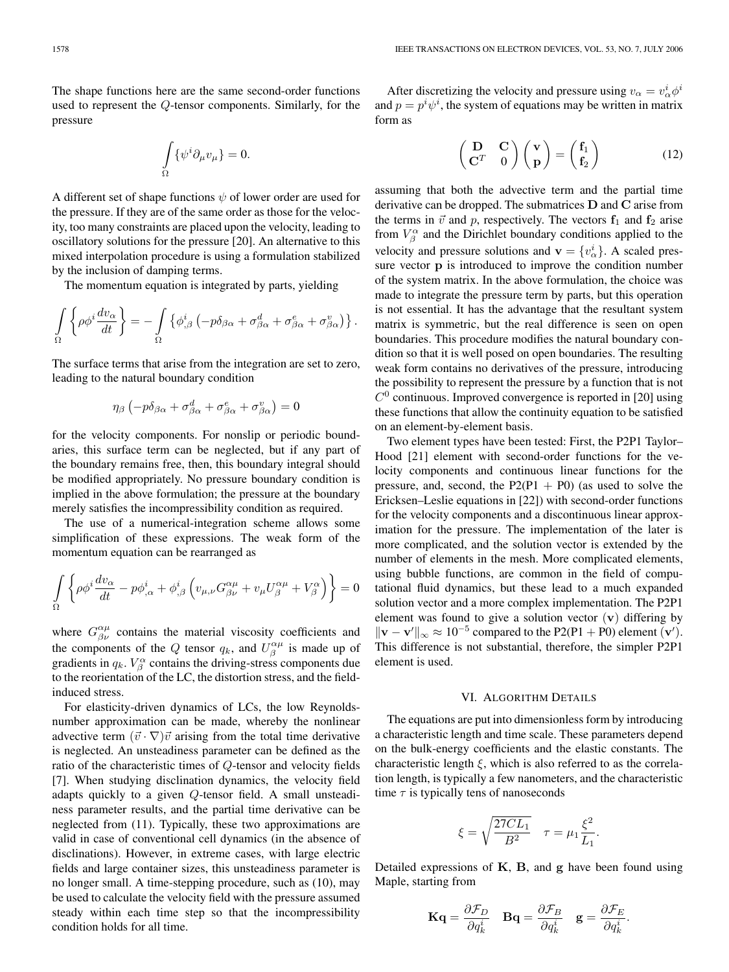The shape functions here are the same second-order functions used to represent the Q-tensor components. Similarly, for the pressure

$$
\int\limits_\Omega \{\psi^i\partial_\mu v_\mu\}=0.
$$

A different set of shape functions  $\psi$  of lower order are used for the pressure. If they are of the same order as those for the velocity, too many constraints are placed upon the velocity, leading to oscillatory solutions for the pressure [20]. An alternative to this mixed interpolation procedure is using a formulation stabilized by the inclusion of damping terms.

The momentum equation is integrated by parts, yielding

$$
\int_{\Omega} \left\{ \rho \phi^i \frac{dv_{\alpha}}{dt} \right\} = -\int_{\Omega} \left\{ \phi^i_{,\beta} \left( -p \delta_{\beta \alpha} + \sigma^d_{\beta \alpha} + \sigma^e_{\beta \alpha} + \sigma^v_{\beta \alpha} \right) \right\}.
$$

The surface terms that arise from the integration are set to zero, leading to the natural boundary condition

$$
\eta_{\beta} \left( -p \delta_{\beta \alpha} + \sigma_{\beta \alpha}^{d} + \sigma_{\beta \alpha}^{e} + \sigma_{\beta \alpha}^{v} \right) = 0
$$

for the velocity components. For nonslip or periodic boundaries, this surface term can be neglected, but if any part of the boundary remains free, then, this boundary integral should be modified appropriately. No pressure boundary condition is implied in the above formulation; the pressure at the boundary merely satisfies the incompressibility condition as required.

The use of a numerical-integration scheme allows some simplification of these expressions. The weak form of the momentum equation can be rearranged as

$$
\int_{\Omega} \left\{ \rho \phi^i \frac{dv_{\alpha}}{dt} - p \phi^i_{,\alpha} + \phi^i_{,\beta} \left( v_{\mu,\nu} G^{\alpha \mu}_{\beta \nu} + v_{\mu} U^{\alpha \mu}_{\beta} + V^{\alpha}_{\beta} \right) \right\} = 0
$$

where  $G_{\beta\nu}^{\alpha\mu}$  contains the material viscosity coefficients and the components of the Q tensor  $q_k$ , and  $U^{\alpha\mu}_{\beta}$  is made up of gradients in  $q_k$ .  $V_\beta^\alpha$  contains the driving-stress components due to the reorientation of the LC, the distortion stress, and the fieldinduced stress.

For elasticity-driven dynamics of LCs, the low Reynoldsnumber approximation can be made, whereby the nonlinear advective term  $(\vec{v} \cdot \nabla) \vec{v}$  arising from the total time derivative is neglected. An unsteadiness parameter can be defined as the ratio of the characteristic times of Q-tensor and velocity fields [7]. When studying disclination dynamics, the velocity field adapts quickly to a given Q-tensor field. A small unsteadiness parameter results, and the partial time derivative can be neglected from (11). Typically, these two approximations are valid in case of conventional cell dynamics (in the absence of disclinations). However, in extreme cases, with large electric fields and large container sizes, this unsteadiness parameter is no longer small. A time-stepping procedure, such as (10), may be used to calculate the velocity field with the pressure assumed steady within each time step so that the incompressibility condition holds for all time.

After discretizing the velocity and pressure using  $v_{\alpha} = v_{\alpha}^i \phi^i$ and  $p = p^i \psi^i$ , the system of equations may be written in matrix form as

$$
\begin{pmatrix} \mathbf{D} & \mathbf{C} \\ \mathbf{C}^T & 0 \end{pmatrix} \begin{pmatrix} \mathbf{v} \\ \mathbf{p} \end{pmatrix} = \begin{pmatrix} \mathbf{f}_1 \\ \mathbf{f}_2 \end{pmatrix}
$$
(12)

assuming that both the advective term and the partial time derivative can be dropped. The submatrices **D** and **C** arise from the terms in  $\vec{v}$  and p, respectively. The vectors  $f_1$  and  $f_2$  arise from  $V_\beta^\alpha$  and the Dirichlet boundary conditions applied to the velocity and pressure solutions and  $\mathbf{v} = \{v_{\alpha}^{i}\}\)$ . A scaled pressure vector **p** is introduced to improve the condition number of the system matrix. In the above formulation, the choice was made to integrate the pressure term by parts, but this operation is not essential. It has the advantage that the resultant system matrix is symmetric, but the real difference is seen on open boundaries. This procedure modifies the natural boundary condition so that it is well posed on open boundaries. The resulting weak form contains no derivatives of the pressure, introducing the possibility to represent the pressure by a function that is not  $C<sup>0</sup>$  continuous. Improved convergence is reported in [20] using these functions that allow the continuity equation to be satisfied on an element-by-element basis.

Two element types have been tested: First, the P2P1 Taylor– Hood [21] element with second-order functions for the velocity components and continuous linear functions for the pressure, and, second, the  $P2(P1 + P0)$  (as used to solve the Ericksen–Leslie equations in [22]) with second-order functions for the velocity components and a discontinuous linear approximation for the pressure. The implementation of the later is more complicated, and the solution vector is extended by the number of elements in the mesh. More complicated elements, using bubble functions, are common in the field of computational fluid dynamics, but these lead to a much expanded solution vector and a more complex implementation. The P2P1 element was found to give a solution vector (**v**) differing by  $\|\mathbf{v} - \mathbf{v}'\|_{\infty} \approx 10^{-5}$  compared to the P2(P1 + P0) element (**v**'). This difference is not substantial, therefore, the simpler P2P1 element is used.

#### VI. ALGORITHM DETAILS

The equations are put into dimensionless form by introducing a characteristic length and time scale. These parameters depend on the bulk-energy coefficients and the elastic constants. The characteristic length  $\xi$ , which is also referred to as the correlation length, is typically a few nanometers, and the characteristic time  $\tau$  is typically tens of nanoseconds

$$
\xi = \sqrt{\frac{27CL_1}{B^2}} \quad \tau = \mu_1 \frac{\xi^2}{L_1}.
$$

Detailed expressions of **K**, **B**, and **g** have been found using Maple, starting from

$$
\mathbf{Kq}=\frac{\partial \mathcal{F}_D}{\partial q_k^i} \quad \mathbf{Bq}=\frac{\partial \mathcal{F}_B}{\partial q_k^i} \quad \mathbf{g}=\frac{\partial \mathcal{F}_E}{\partial q_k^i}
$$

.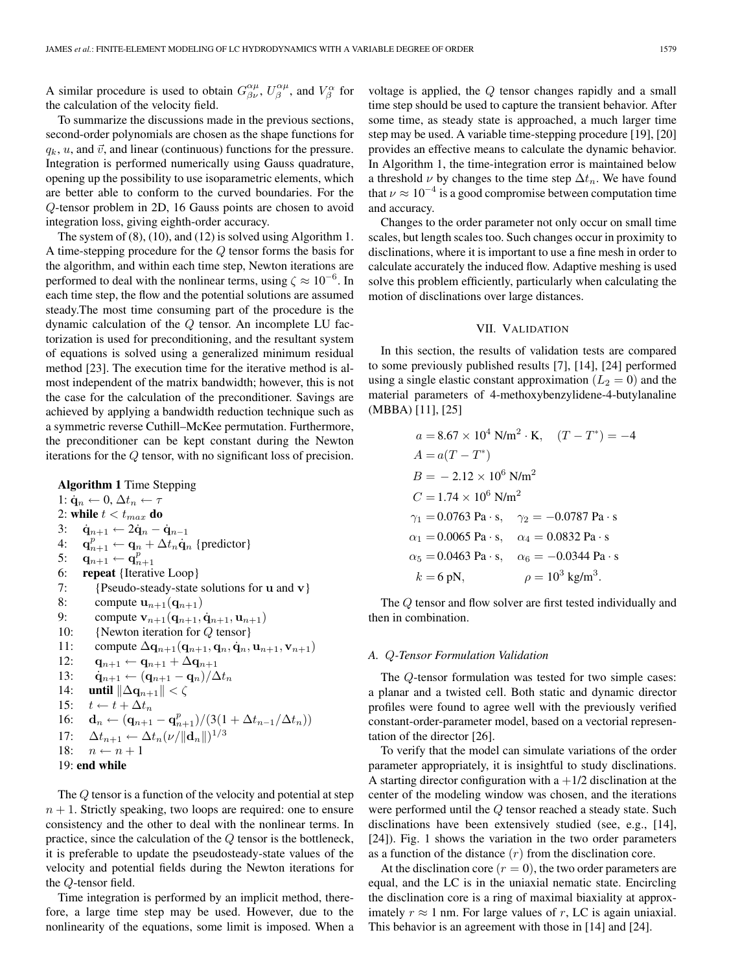A similar procedure is used to obtain  $G^{\alpha\mu}_{\beta\nu}$ ,  $U^{\alpha\mu}_{\beta}$ , and  $V^{\alpha}_{\beta}$  for the calculation of the velocity field.

To summarize the discussions made in the previous sections, second-order polynomials are chosen as the shape functions for  $q_k$ , u, and  $\vec{v}$ , and linear (continuous) functions for the pressure. Integration is performed numerically using Gauss quadrature, opening up the possibility to use isoparametric elements, which are better able to conform to the curved boundaries. For the Q-tensor problem in 2D, 16 Gauss points are chosen to avoid integration loss, giving eighth-order accuracy.

The system of (8), (10), and (12) is solved using Algorithm 1. A time-stepping procedure for the Q tensor forms the basis for the algorithm, and within each time step, Newton iterations are performed to deal with the nonlinear terms, using  $\zeta \approx 10^{-6}$ . In each time step, the flow and the potential solutions are assumed steady.The most time consuming part of the procedure is the dynamic calculation of the Q tensor. An incomplete LU factorization is used for preconditioning, and the resultant system of equations is solved using a generalized minimum residual method [23]. The execution time for the iterative method is almost independent of the matrix bandwidth; however, this is not the case for the calculation of the preconditioner. Savings are achieved by applying a bandwidth reduction technique such as a symmetric reverse Cuthill–McKee permutation. Furthermore, the preconditioner can be kept constant during the Newton iterations for the Q tensor, with no significant loss of precision.

**Algorithm 1** Time Stepping 1:  $\dot{\mathbf{q}}_n \leftarrow 0, \Delta t_n \leftarrow \tau$ 2: **while**  $t < t_{max}$  **do** 3:  $\dot{q}_{n+1}$  ← 2 $\dot{q}_n - \dot{q}_{n-1}$ 4:  $\mathbf{q}_{n+1}^p \leftarrow \mathbf{q}_n + \Delta t_n \dot{\mathbf{q}}_n$  {predictor} 5: **q**<sub>n+1</sub> ← **q**<sup>p</sup><sub>n+1</sub> 6: **repeat** {Iterative Loop} 7: {Pseudo-steady-state solutions for **u** and **v**} 8: compute  $\mathbf{u}_{n+1}(\mathbf{q}_{n+1})$ 9: compute  $v_{n+1}(q_{n+1}, \dot{q}_{n+1}, u_{n+1})$ 10: {Newton iteration for Q tensor} 11: compute  $\Delta$ **q**<sub>n+1</sub>(**q**<sub>n+1</sub>, **q**<sub>n</sub>, **q**<sub>n</sub>, **u**<sub>n+1</sub>, **v**<sub>n+1</sub>) 12: **q**<sup>n</sup>+1 ← **q**<sup>n</sup>+1 + ∆**q**<sup>n</sup>+1 13:  $\dot{\mathbf{q}}_{n+1} \leftarrow (\mathbf{q}_{n+1} - \mathbf{q}_n)/\Delta t_n$ 14: **until**  $\|\Delta \mathbf{q}_{n+1}\| < \zeta$ 15:  $t \leftarrow t + \Delta t_n$ 16: **d**<sub>n</sub> ←  $(\mathbf{q}_{n+1} - \mathbf{q}_{n+1}^p)/(3(1 + \Delta t_{n-1}/\Delta t_n))$ 17:  $\Delta t_{n+1} \leftarrow \Delta t_n(\nu/||\mathbf{d}_n||)^{1/3}$ 18:  $n \leftarrow n + 1$ 

```
19: end while
```
The Q tensor is a function of the velocity and potential at step  $n + 1$ . Strictly speaking, two loops are required: one to ensure consistency and the other to deal with the nonlinear terms. In practice, since the calculation of the Q tensor is the bottleneck, it is preferable to update the pseudosteady-state values of the velocity and potential fields during the Newton iterations for the Q-tensor field.

Time integration is performed by an implicit method, therefore, a large time step may be used. However, due to the nonlinearity of the equations, some limit is imposed. When a voltage is applied, the Q tensor changes rapidly and a small time step should be used to capture the transient behavior. After some time, as steady state is approached, a much larger time step may be used. A variable time-stepping procedure [19], [20] provides an effective means to calculate the dynamic behavior. In Algorithm 1, the time-integration error is maintained below a threshold  $\nu$  by changes to the time step  $\Delta t_n$ . We have found that  $\nu \approx 10^{-4}$  is a good compromise between computation time and accuracy.

Changes to the order parameter not only occur on small time scales, but length scales too. Such changes occur in proximity to disclinations, where it is important to use a fine mesh in order to calculate accurately the induced flow. Adaptive meshing is used solve this problem efficiently, particularly when calculating the motion of disclinations over large distances.

# VII. VALIDATION

In this section, the results of validation tests are compared to some previously published results [7], [14], [24] performed using a single elastic constant approximation  $(L_2 = 0)$  and the material parameters of 4-methoxybenzylidene-4-butylanaline (MBBA) [11], [25]

$$
a = 8.67 \times 10^{4} \text{ N/m}^{2} \cdot \text{K}, \quad (T - T^{*}) = -4
$$
  
\n
$$
A = a(T - T^{*})
$$
  
\n
$$
B = -2.12 \times 10^{6} \text{ N/m}^{2}
$$
  
\n
$$
C = 1.74 \times 10^{6} \text{ N/m}^{2}
$$
  
\n
$$
\gamma_{1} = 0.0763 \text{ Pa} \cdot \text{s}, \quad \gamma_{2} = -0.0787 \text{ Pa} \cdot \text{s}
$$
  
\n
$$
\alpha_{1} = 0.0065 \text{ Pa} \cdot \text{s}, \quad \alpha_{4} = 0.0832 \text{ Pa} \cdot \text{s}
$$
  
\n
$$
\alpha_{5} = 0.0463 \text{ Pa} \cdot \text{s}, \quad \alpha_{6} = -0.0344 \text{ Pa} \cdot \text{s}
$$
  
\n
$$
k = 6 \text{ pN}, \qquad \rho = 10^{3} \text{ kg/m}^{3}.
$$

The Q tensor and flow solver are first tested individually and then in combination.

# *A.* Q*-Tensor Formulation Validation*

The Q-tensor formulation was tested for two simple cases: a planar and a twisted cell. Both static and dynamic director profiles were found to agree well with the previously verified constant-order-parameter model, based on a vectorial representation of the director [26].

To verify that the model can simulate variations of the order parameter appropriately, it is insightful to study disclinations. A starting director configuration with  $a + 1/2$  disclination at the center of the modeling window was chosen, and the iterations were performed until the Q tensor reached a steady state. Such disclinations have been extensively studied (see, e.g., [14], [24]). Fig. 1 shows the variation in the two order parameters as a function of the distance  $(r)$  from the disclination core.

At the disclination core  $(r = 0)$ , the two order parameters are equal, and the LC is in the uniaxial nematic state. Encircling the disclination core is a ring of maximal biaxiality at approximately  $r \approx 1$  nm. For large values of r, LC is again uniaxial. This behavior is an agreement with those in [14] and [24].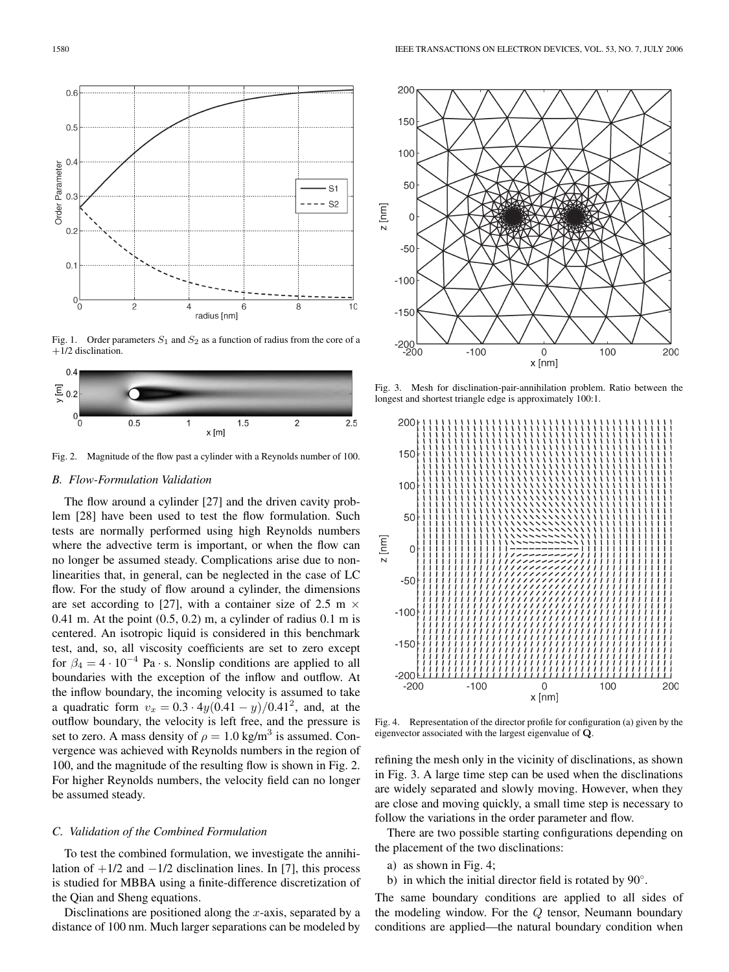

Fig. 1. Order parameters  $S_1$  and  $S_2$  as a function of radius from the core of a +1/2 disclination.



Fig. 2. Magnitude of the flow past a cylinder with a Reynolds number of 100.

# *B. Flow-Formulation Validation*

The flow around a cylinder [27] and the driven cavity problem [28] have been used to test the flow formulation. Such tests are normally performed using high Reynolds numbers where the advective term is important, or when the flow can no longer be assumed steady. Complications arise due to nonlinearities that, in general, can be neglected in the case of LC flow. For the study of flow around a cylinder, the dimensions are set according to [27], with a container size of 2.5 m  $\times$ 0.41 m. At the point  $(0.5, 0.2)$  m, a cylinder of radius 0.1 m is centered. An isotropic liquid is considered in this benchmark test, and, so, all viscosity coefficients are set to zero except for  $\beta_4 = 4 \cdot 10^{-4}$  Pa · s. Nonslip conditions are applied to all boundaries with the exception of the inflow and outflow. At the inflow boundary, the incoming velocity is assumed to take a quadratic form  $v_x = 0.3 \cdot 4y(0.41 - y)/0.41^2$ , and, at the outflow boundary, the velocity is left free, and the pressure is set to zero. A mass density of  $\rho = 1.0$  kg/m<sup>3</sup> is assumed. Convergence was achieved with Reynolds numbers in the region of 100, and the magnitude of the resulting flow is shown in Fig. 2. For higher Reynolds numbers, the velocity field can no longer be assumed steady.

# *C. Validation of the Combined Formulation*

To test the combined formulation, we investigate the annihilation of  $+1/2$  and  $-1/2$  disclination lines. In [7], this process is studied for MBBA using a finite-difference discretization of the Qian and Sheng equations.

Disclinations are positioned along the  $x$ -axis, separated by a distance of 100 nm. Much larger separations can be modeled by



Fig. 3. Mesh for disclination-pair-annihilation problem. Ratio between the longest and shortest triangle edge is approximately 100:1.



Fig. 4. Representation of the director profile for configuration (a) given by the eigenvector associated with the largest eigenvalue of **Q**.

refining the mesh only in the vicinity of disclinations, as shown in Fig. 3. A large time step can be used when the disclinations are widely separated and slowly moving. However, when they are close and moving quickly, a small time step is necessary to follow the variations in the order parameter and flow.

There are two possible starting configurations depending on the placement of the two disclinations:

- a) as shown in Fig. 4;
- b) in which the initial director field is rotated by 90°.

The same boundary conditions are applied to all sides of the modeling window. For the Q tensor, Neumann boundary conditions are applied—the natural boundary condition when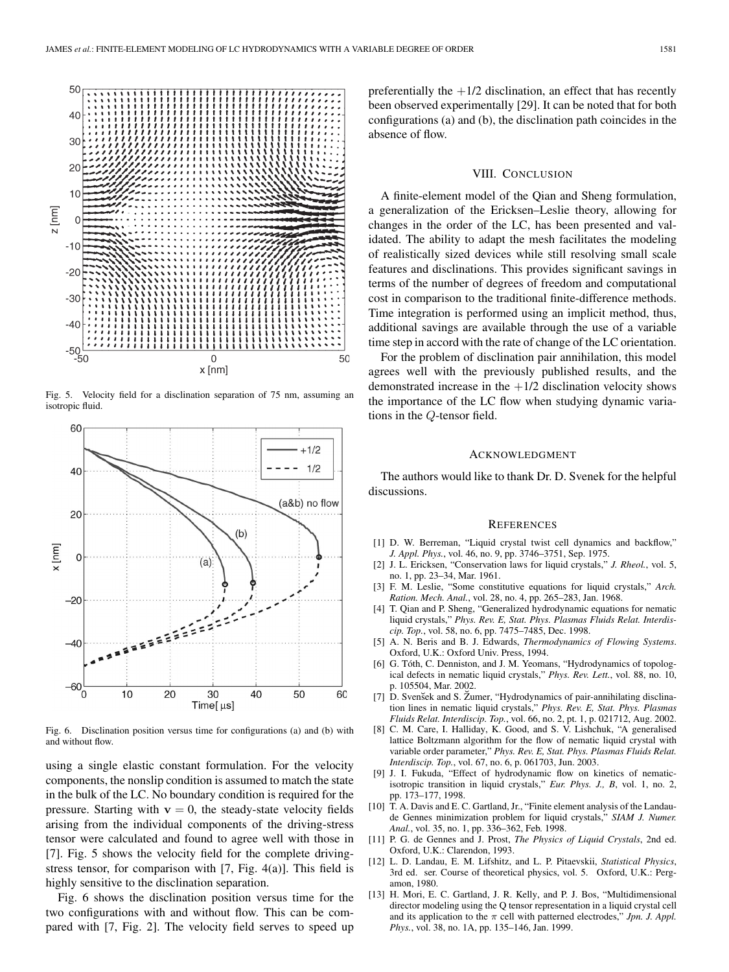

Fig. 5. Velocity field for a disclination separation of 75 nm, assuming an isotropic fluid.



Fig. 6. Disclination position versus time for configurations (a) and (b) with and without flow.

using a single elastic constant formulation. For the velocity components, the nonslip condition is assumed to match the state in the bulk of the LC. No boundary condition is required for the pressure. Starting with  $v = 0$ , the steady-state velocity fields arising from the individual components of the driving-stress tensor were calculated and found to agree well with those in [7]. Fig. 5 shows the velocity field for the complete drivingstress tensor, for comparison with [7, Fig. 4(a)]. This field is highly sensitive to the disclination separation.

Fig. 6 shows the disclination position versus time for the two configurations with and without flow. This can be compared with [7, Fig. 2]. The velocity field serves to speed up

preferentially the  $+1/2$  disclination, an effect that has recently been observed experimentally [29]. It can be noted that for both configurations (a) and (b), the disclination path coincides in the absence of flow.

## VIII. CONCLUSION

A finite-element model of the Qian and Sheng formulation, a generalization of the Ericksen–Leslie theory, allowing for changes in the order of the LC, has been presented and validated. The ability to adapt the mesh facilitates the modeling of realistically sized devices while still resolving small scale features and disclinations. This provides significant savings in terms of the number of degrees of freedom and computational cost in comparison to the traditional finite-difference methods. Time integration is performed using an implicit method, thus, additional savings are available through the use of a variable time step in accord with the rate of change of the LC orientation.

For the problem of disclination pair annihilation, this model agrees well with the previously published results, and the demonstrated increase in the  $+1/2$  disclination velocity shows the importance of the LC flow when studying dynamic variations in the Q-tensor field.

#### ACKNOWLEDGMENT

The authors would like to thank Dr. D. Svenek for the helpful discussions.

#### **REFERENCES**

- [1] D. W. Berreman, "Liquid crystal twist cell dynamics and backflow," *J. Appl. Phys.*, vol. 46, no. 9, pp. 3746–3751, Sep. 1975.
- [2] J. L. Ericksen, "Conservation laws for liquid crystals," *J. Rheol.*, vol. 5, no. 1, pp. 23–34, Mar. 1961.
- [3] F. M. Leslie, "Some constitutive equations for liquid crystals," *Arch. Ration. Mech. Anal.*, vol. 28, no. 4, pp. 265–283, Jan. 1968.
- [4] T. Qian and P. Sheng, "Generalized hydrodynamic equations for nematic liquid crystals," *Phys. Rev. E, Stat. Phys. Plasmas Fluids Relat. Interdiscip. Top.*, vol. 58, no. 6, pp. 7475–7485, Dec. 1998.
- [5] A. N. Beris and B. J. Edwards, *Thermodynamics of Flowing Systems*. Oxford, U.K.: Oxford Univ. Press, 1994.
- [6] G. Tóth, C. Denniston, and J. M. Yeomans, "Hydrodynamics of topological defects in nematic liquid crystals," *Phys. Rev. Lett.*, vol. 88, no. 10, p. 105504, Mar. 2002.
- [7] D. Svensek and S. Zumer, "Hydrodynamics of pair-annihilating disclination lines in nematic liquid crystals," *Phys. Rev. E, Stat. Phys. Plasmas Fluids Relat. Interdiscip. Top.*, vol. 66, no. 2, pt. 1, p. 021712, Aug. 2002.
- [8] C. M. Care, I. Halliday, K. Good, and S. V. Lishchuk, "A generalised lattice Boltzmann algorithm for the flow of nematic liquid crystal with variable order parameter," *Phys. Rev. E, Stat. Phys. Plasmas Fluids Relat. Interdiscip. Top.*, vol. 67, no. 6, p. 061703, Jun. 2003.
- [9] J. I. Fukuda, "Effect of hydrodynamic flow on kinetics of nematicisotropic transition in liquid crystals," *Eur. Phys. J., B*, vol. 1, no. 2, pp. 173–177, 1998.
- [10] T. A. Davis and E. C. Gartland, Jr., "Finite element analysis of the Landaude Gennes minimization problem for liquid crystals," *SIAM J. Numer. Anal.*, vol. 35, no. 1, pp. 336–362, Feb. 1998.
- [11] P. G. de Gennes and J. Prost, *The Physics of Liquid Crystals*, 2nd ed. Oxford, U.K.: Clarendon, 1993.
- [12] L. D. Landau, E. M. Lifshitz, and L. P. Pitaevskii, *Statistical Physics*, 3rd ed. ser. Course of theoretical physics, vol. 5. Oxford, U.K.: Pergamon, 1980.
- [13] H. Mori, E. C. Gartland, J. R. Kelly, and P. J. Bos, "Multidimensional director modeling using the Q tensor representation in a liquid crystal cell and its application to the  $\pi$  cell with patterned electrodes," *Jpn. J. Appl. Phys.*, vol. 38, no. 1A, pp. 135–146, Jan. 1999.